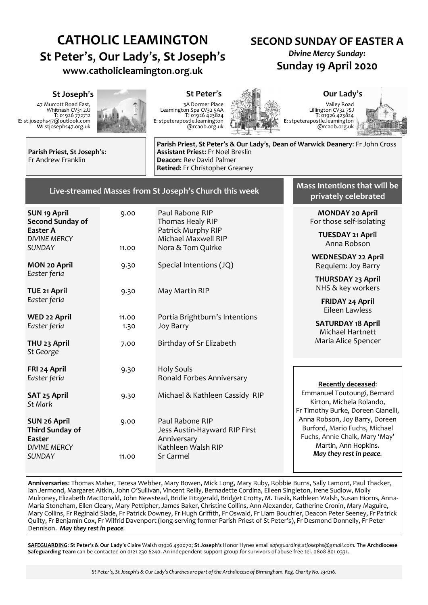# **CATHOLIC LEAMINGTON St Peter**'**s**, **Our Lady**'**s**, **St Joseph**'**s www**.**catholicleamington**.**org**.**uk**

# **SECOND SUNDAY OF EASTER A** *Divine Mercy Sunday***: Sunday 19 April 2020**

47 Murcott Road East, Whitnash CV31 2JJ **T**: 01926 772712 **E**: st.josephs47@outlook.com **W**: stjosephs47.org.uk



# 3A Dormer Place

Leamington Spa CV32 5AA **T**: 01926 423824 **E**: stpeterapostle.leamington @rcaob.org.uk



Valley Road Lillington CV32 7SJ **T**: 01926 423824 **E**: stpeterapostle.leamington @rcaob.org.uk

> **Mass Intentions that will be privately celebrated**



**Parish Priest**, **St Joseph**'**s**: Fr Andrew Franklin

**Parish Priest**, **St Peter**'**s & Our Lady**'**s**, **Dean of Warwick Deanery**: Fr John Cross **Assistant Priest**: Fr Noel Breslin **Deacon**: Rev David Palmer **Retired**: Fr Christopher Greaney

#### **Live-streamed Masses from St Joseph's Church this week**

| <b>SUN 19 April</b><br>Second Sunday of                 | 9.00          | Paul Rabone RIP<br>Thomas Healy RIP                             | <b>MONDAY 20 April</b><br>For those self-isolating                                                                         |
|---------------------------------------------------------|---------------|-----------------------------------------------------------------|----------------------------------------------------------------------------------------------------------------------------|
| <b>Easter A</b><br><b>DIVINE MERCY</b><br><b>SUNDAY</b> | 11.00         | Patrick Murphy RIP<br>Michael Maxwell RIP<br>Nora & Tom Quirke  | <b>TUESDAY 21 April</b><br>Anna Robson                                                                                     |
| <b>MON 20 April</b>                                     | 9.30          | Special Intentions (JQ)                                         | <b>WEDNESDAY 22 April</b><br>Requiem: Joy Barry                                                                            |
| Easter feria<br>TUE 21 April                            | 9.30          | May Martin RIP                                                  | THURSDAY 23 April<br>NHS & key workers                                                                                     |
| Easter feria                                            |               |                                                                 | FRIDAY 24 April<br>Eileen Lawless                                                                                          |
| <b>WED 22 April</b><br>Easter feria                     | 11.00<br>1.30 | Portia Brightburn's Intentions<br><b>Joy Barry</b>              | <b>SATURDAY 18 April</b><br>Michael Hartnett                                                                               |
| THU 23 April<br>St George                               | 7.00          | Birthday of Sr Elizabeth                                        | Maria Alice Spencer                                                                                                        |
| FRI 24 April<br>Easter feria                            | 9.30          | <b>Holy Souls</b><br>Ronald Forbes Anniversary                  |                                                                                                                            |
| SAT 25 April<br>St Mark                                 | 9.30          | Michael & Kathleen Cassidy RIP                                  | <b>Recently deceased:</b><br>Emmanuel Toutoungi, Bernard<br>Kirton, Michela Rolando,<br>Fr Timothy Burke, Doreen Gianelli, |
| <b>SUN 26 April</b><br>Third Sunday of<br>Easter        | 9.00          | Paul Rabone RIP<br>Jess Austin-Hayward RIP First<br>Anniversary | Anna Robson, Joy Barry, Doreen<br>Burford, Mario Fuchs, Michael<br>Fuchs, Annie Chalk, Mary 'May'                          |
| DIVINE MERCY<br><b>SUNDAY</b>                           | 11.00         | Kathleen Walsh RIP<br>Sr Carmel                                 | Martin, Ann Hopkins.<br>May they rest in peace.                                                                            |

**Anniversaries**: Thomas Maher, Teresa Webber, Mary Bowen, Mick Long, Mary Ruby, Robbie Burns, Sally Lamont, Paul Thacker, Ian Jermond, Margaret Aitkin, John O'Sullivan, Vincent Reilly, Bernadette Cordina, Eileen Singleton, Irene Sudlow, Molly Mulroney, Elizabeth MacDonald, John Newstead, Bridie Fitzgerald, Bridget Crotty, M. Tiasik, Kathleen Walsh, Susan Hiorns, Anna-Maria Stoneham, Ellen Cleary, Mary Pettipher, James Baker, Christine Collins, Ann Alexander, Catherine Cronin, Mary Maguire, Mary Collins, Fr Reginald Slade, Fr Patrick Downey, Fr Hugh Griffith, Fr Oswald, Fr Liam Bouchier, Deacon Peter Seeney, Fr Patrick Quilty, Fr Benjamin Cox, Fr Wilfrid Davenport (long-serving former Parish Priest of St Peter's), Fr Desmond Donnelly, Fr Peter Dennison. *May they rest in peace.*

**SAFEGUARDING**: **St Peter**'**s & Our Lady**'**s** Claire Walsh 01926 430070; **St Joseph**'**s** Honor Hynes email *safeguarding.stjosephs@gmail.com.* The **Archdiocese Safeguarding Team** can be contacted on 0121 230 6240. An independent support group for survivors of abuse free tel. 0808 801 0331.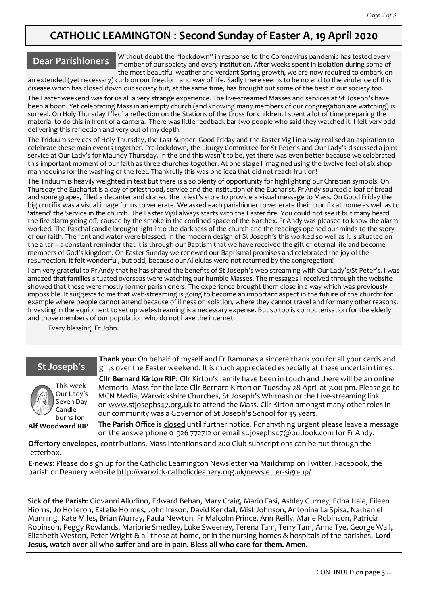# **CATHOLIC LEAMINGTON** : **Second Sunday of Easter A**, **19 April 2020**

#### **Dear Parishioners**

Without doubt the "lockdown" in response to the Coronavirus pandemic has tested every member of our society and every institution. After weeks spent in isolation during some of the most beautiful weather and verdant Spring growth, we are now required to embark on

an extended (yet necessary) curb on our freedom and way of life. Sadly there seems to be no end to the virulence of this disease which has closed down our society but, at the same time, has brought out some of the best in our society too.

The Easter weekend was for us all a very strange experience. The live-streamed Masses and services at St Joseph's have been a boon. Yet celebrating Mass in an empty church (and knowing many members of our congregation are watching) is surreal. On Holy Thursday I 'led' a reflection on the Stations of the Cross for children. I spent a lot of time preparing the material to do this in front of a camera. There was little feedback bar two people who said they watched it. I felt very odd delivering this reflection and very out of my depth.

The Triduum services of Holy Thursday, the Last Supper, Good Friday and the Easter Vigil in a way realised an aspiration to celebrate these main events together. Pre-lockdown, the Liturgy Committee for St Peter's and Our Lady's discussed a joint service at Our Lady's for Maundy Thursday. In the end this wasn't to be, yet there was even better because we celebrated this important moment of our faith as three churches together. At one stage I imagined using the twelve feet of six shop mannequins for the washing of the feet. Thankfully this was one idea that did not reach fruition!

The Triduum is heavily weighted in text but there is also plenty of opportunity for highlighting our Christian symbols. On Thursday the Eucharist is a day of priesthood, service and the institution of the Eucharist. Fr Andy sourced a loaf of bread and some grapes, filled a decanter and draped the priest's stole to provide a visual message to Mass. On Good Friday the big crucifix was a visual image for us to venerate. We asked each parishioner to venerate their crucifix at home as well as to 'attend' the Service in the church. The Easter Vigil always starts with the Easter fire. You could not see it but many heard the fire alarm going off, caused by the smoke in the confined space of the Narthex. Fr Andy was pleased to know the alarm worked! The Paschal candle brought light into the darkness of the church and the readings opened our minds to the story of our faith. The font and water were blessed. In the modern design of St Joseph's this worked so well as it is situated on the altar – a constant reminder that it is through our Baptism that we have received the gift of eternal life and become members of God's kingdom. On Easter Sunday we renewed our Baptismal promises and celebrated the joy of the resurrection. It felt wonderful, but odd, because our Alleluias were not returned by the congregation!

I am very grateful to Fr Andy that he has shared the benefits of St Joseph's web-streaming with Our Lady's/St Peter's. I was amazed that families situated overseas were watching our humble Masses. The messages I received through the website showed that these were mostly former parishioners. The experience brought them close in a way which was previously impossible. It suggests to me that web-streaming is going to become an important aspect in the future of the church: for example where people cannot attend because of illness or isolation, where they cannot travel and for many other reasons. Investing in the equipment to set up web-streaming is a necessary expense. But so too is computerisation for the elderly and those members of our population who do not have the internet.

Every blessing, Fr John.

# **St Joseph**'**s**

**Alf Woodward RIP**



**Thank you**: On behalf of myself and Fr Ramunas a sincere thank you for all your cards and gifts over the Easter weekend. It is much appreciated especially at these uncertain times.

**Cllr Bernard Kirton RIP**: Cllr Kirton's family have been in touch and there will be an online Memorial Mass for the late Cllr Bernard Kirton on Tuesday 28 April at 7.00 pm. Please go to MCN Media, Warwickshire Churches, St Joseph's Whitnash or the Live-streaming link on [www.stjosephs47.org.uk](http://www.stjosephs47.org.uk/) to attend the Mass. Cllr Kirton amongst many other roles in our community was a Governor of St Joseph's School for 35 years.

**The Parish Office** is closed until further notice. For anything urgent please leave a message on the answerphone 01926 772712 or email st.josephs47@outlook.com for Fr Andy.

**Offertory envelopes**, contributions, Mass Intentions and 200 Club subscriptions can be put through the letterbox.

**E**-**news**: Please do sign up for the Catholic Leamington Newsletter via Mailchimp on Twitter, Facebook, the parish or Deanery website http://warwick-[catholicdeanery.org.uk/newsletter](https://eur01.safelinks.protection.outlook.com/?url=http%3A%2F%2Fwarwick-catholicdeanery.org.uk%2Fnewsletter-sign-up%2F&data=02%7C01%7C%7C721285f1bfe64a92393d08d7a351cd53%7C84df9e7fe9f640afb435aaaaaaaaaaaa%7C1%7C0%7C637157444038479073&sdata=wJyzCzyquvWm6KYBMn)-sign-up/

**Sick of the Parish**: Giovanni Allurlino, Edward Behan, Mary Craig, Mario Fasi, Ashley Gurney, Edna Hale, Eileen Hiorns, Jo Holleron, Estelle Holmes, John Ireson, David Kendall, Mist Johnson, Antonina La Spisa, Nathaniel Manning, Kate Miles, Brian Murray, Paula Newton, Fr Malcolm Prince, Ann Reilly, Marie Robinson, Patricia Robinson, Peggy Rowlands, Marjorie Smedley, Luke Sweeney, Terena Tam, Terry Tam, Anna Tye, George Wall, Elizabeth Weston, Peter Wright & all those at home, or in the nursing homes & hospitals of the parishes. **Lord Jesus, watch over all who suffer and are in pain. Bless all who care for them. Amen.**